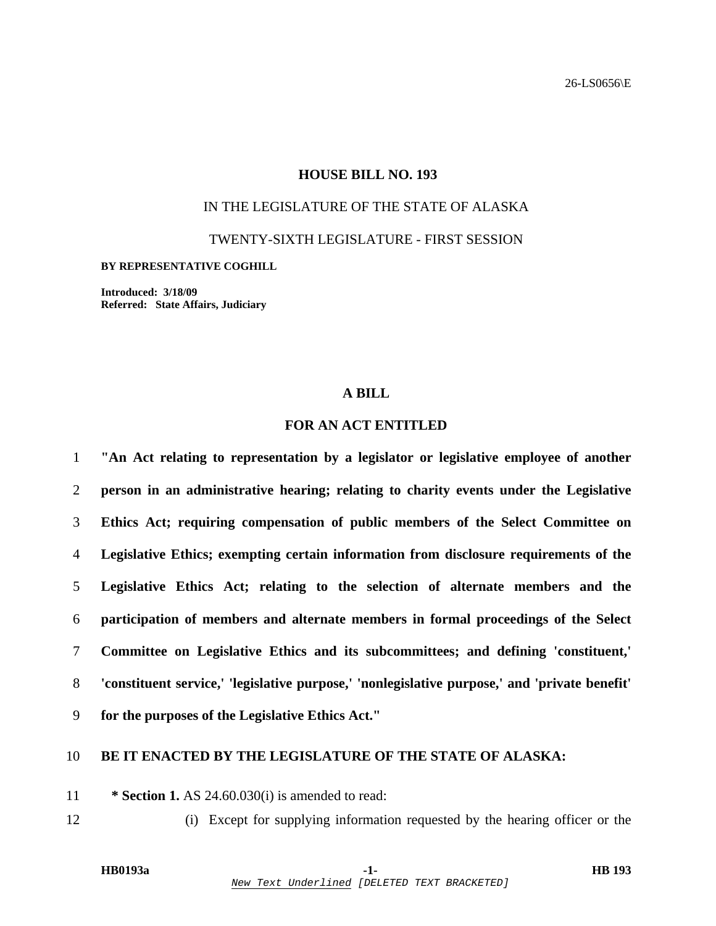### **HOUSE BILL NO. 193**

# IN THE LEGISLATURE OF THE STATE OF ALASKA

TWENTY-SIXTH LEGISLATURE - FIRST SESSION

#### **BY REPRESENTATIVE COGHILL**

**Introduced: 3/18/09 Referred: State Affairs, Judiciary** 

### **A BILL**

## **FOR AN ACT ENTITLED**

**"An Act relating to representation by a legislator or legislative employee of another person in an administrative hearing; relating to charity events under the Legislative Ethics Act; requiring compensation of public members of the Select Committee on Legislative Ethics; exempting certain information from disclosure requirements of the Legislative Ethics Act; relating to the selection of alternate members and the participation of members and alternate members in formal proceedings of the Select Committee on Legislative Ethics and its subcommittees; and defining 'constituent,' 'constituent service,' 'legislative purpose,' 'nonlegislative purpose,' and 'private benefit' for the purposes of the Legislative Ethics Act."** 

## 10 **BE IT ENACTED BY THE LEGISLATURE OF THE STATE OF ALASKA:**

11 **\* Section 1.** AS 24.60.030(i) is amended to read:

12 (i) Except for supplying information requested by the hearing officer or the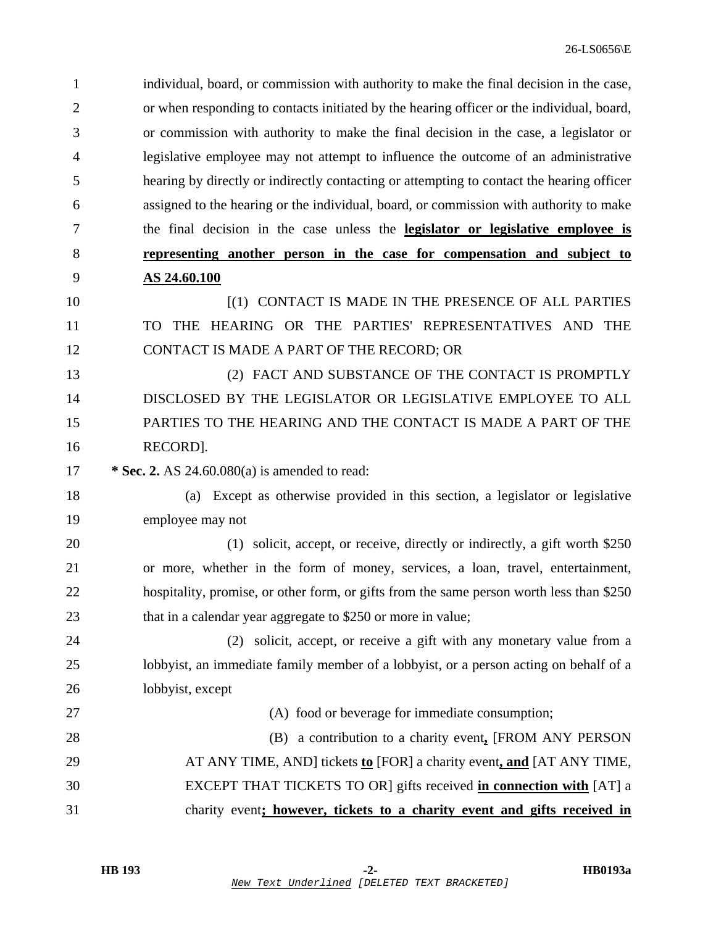| $\mathbf{1}$   | individual, board, or commission with authority to make the final decision in the case,   |
|----------------|-------------------------------------------------------------------------------------------|
| $\overline{2}$ | or when responding to contacts initiated by the hearing officer or the individual, board, |
| 3              | or commission with authority to make the final decision in the case, a legislator or      |
| 4              | legislative employee may not attempt to influence the outcome of an administrative        |
| 5              | hearing by directly or indirectly contacting or attempting to contact the hearing officer |
| 6              | assigned to the hearing or the individual, board, or commission with authority to make    |
| 7              | the final decision in the case unless the <b>legislator or legislative employee is</b>    |
| 8              | representing another person in the case for compensation and subject to                   |
| 9              | AS 24.60.100                                                                              |
| 10             | [(1) CONTACT IS MADE IN THE PRESENCE OF ALL PARTIES                                       |
| 11             | THE HEARING OR THE PARTIES' REPRESENTATIVES AND THE<br>TO.                                |
| 12             | CONTACT IS MADE A PART OF THE RECORD; OR                                                  |
| 13             | (2) FACT AND SUBSTANCE OF THE CONTACT IS PROMPTLY                                         |
| 14             | DISCLOSED BY THE LEGISLATOR OR LEGISLATIVE EMPLOYEE TO ALL                                |
| 15             | PARTIES TO THE HEARING AND THE CONTACT IS MADE A PART OF THE                              |
| 16             | RECORD].                                                                                  |
| 17             | * Sec. 2. AS $24.60.080(a)$ is amended to read:                                           |
| 18             | Except as otherwise provided in this section, a legislator or legislative<br>(a)          |
| 19             | employee may not                                                                          |
| 20             | (1) solicit, accept, or receive, directly or indirectly, a gift worth \$250               |
| 21             | or more, whether in the form of money, services, a loan, travel, entertainment,           |
| 22             | hospitality, promise, or other form, or gifts from the same person worth less than \$250  |
| 23             | that in a calendar year aggregate to \$250 or more in value;                              |
| 24             | (2) solicit, accept, or receive a gift with any monetary value from a                     |
| 25             | lobbyist, an immediate family member of a lobbyist, or a person acting on behalf of a     |
| 26             | lobbyist, except                                                                          |
| 27             | (A) food or beverage for immediate consumption;                                           |
| 28             | (B) a contribution to a charity event, [FROM ANY PERSON                                   |
| 29             | AT ANY TIME, AND] tickets to [FOR] a charity event, and [AT ANY TIME,                     |
| 30             | EXCEPT THAT TICKETS TO OR] gifts received in connection with [AT] a                       |
| 31             | charity event; however, tickets to a charity event and gifts received in                  |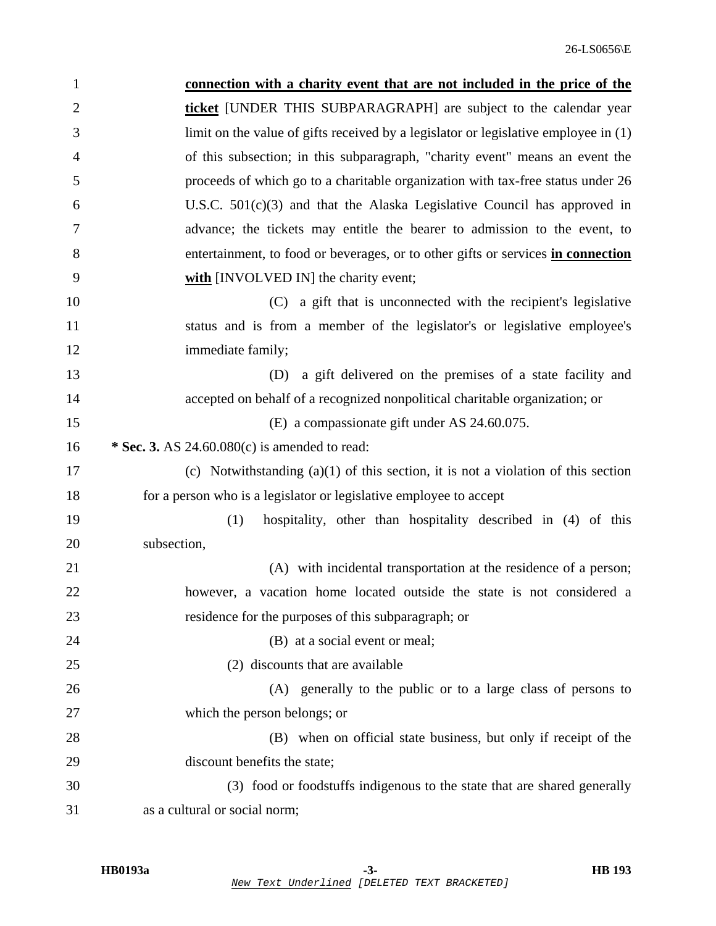| $\mathbf{1}$   | connection with a charity event that are not included in the price of the             |
|----------------|---------------------------------------------------------------------------------------|
| $\overline{2}$ | <b>ticket</b> [UNDER THIS SUBPARAGRAPH] are subject to the calendar year              |
| 3              | limit on the value of gifts received by a legislator or legislative employee in $(1)$ |
| $\overline{4}$ | of this subsection; in this subparagraph, "charity event" means an event the          |
| 5              | proceeds of which go to a charitable organization with tax-free status under 26       |
| 6              | U.S.C. $501(c)(3)$ and that the Alaska Legislative Council has approved in            |
| 7              | advance; the tickets may entitle the bearer to admission to the event, to             |
| 8              | entertainment, to food or beverages, or to other gifts or services in connection      |
| 9              | with [INVOLVED IN] the charity event;                                                 |
| 10             | (C) a gift that is unconnected with the recipient's legislative                       |
| 11             | status and is from a member of the legislator's or legislative employee's             |
| 12             | immediate family;                                                                     |
| 13             | a gift delivered on the premises of a state facility and<br>(D)                       |
| 14             | accepted on behalf of a recognized nonpolitical charitable organization; or           |
| 15             | (E) a compassionate gift under AS 24.60.075.                                          |
| 16             | * Sec. 3. AS $24.60.080(c)$ is amended to read:                                       |
| 17             | (c) Notwithstanding $(a)(1)$ of this section, it is not a violation of this section   |
| 18             | for a person who is a legislator or legislative employee to accept                    |
| 19             | (1)<br>hospitality, other than hospitality described in (4) of this                   |
| 20             | subsection,                                                                           |
| 21             | (A) with incidental transportation at the residence of a person;                      |
| 22             | however, a vacation home located outside the state is not considered a                |
| 23             | residence for the purposes of this subparagraph; or                                   |
| 24             | (B) at a social event or meal;                                                        |
| 25             | (2) discounts that are available                                                      |
| 26             | (A) generally to the public or to a large class of persons to                         |
| 27             | which the person belongs; or                                                          |
| 28             | (B) when on official state business, but only if receipt of the                       |
| 29             | discount benefits the state;                                                          |
| 30             | (3) food or foodstuffs indigenous to the state that are shared generally              |
| 31             | as a cultural or social norm;                                                         |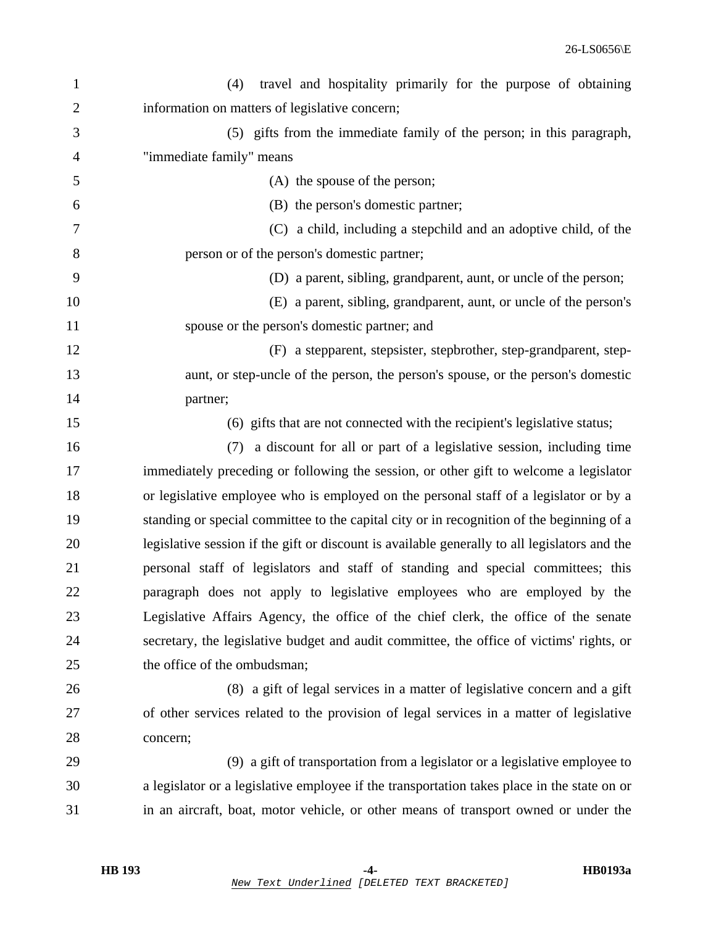| $\mathbf{1}$   | travel and hospitality primarily for the purpose of obtaining<br>(4)                          |
|----------------|-----------------------------------------------------------------------------------------------|
| $\overline{2}$ | information on matters of legislative concern;                                                |
| 3              | (5) gifts from the immediate family of the person; in this paragraph,                         |
| 4              | "immediate family" means                                                                      |
| 5              | (A) the spouse of the person;                                                                 |
| 6              | (B) the person's domestic partner;                                                            |
| 7              | (C) a child, including a stepchild and an adoptive child, of the                              |
| 8              | person or of the person's domestic partner;                                                   |
| 9              | (D) a parent, sibling, grandparent, aunt, or uncle of the person;                             |
| 10             | (E) a parent, sibling, grandparent, aunt, or uncle of the person's                            |
| 11             | spouse or the person's domestic partner; and                                                  |
| 12             | (F) a stepparent, stepsister, stepbrother, step-grandparent, step-                            |
| 13             | aunt, or step-uncle of the person, the person's spouse, or the person's domestic              |
| 14             | partner;                                                                                      |
| 15             | (6) gifts that are not connected with the recipient's legislative status;                     |
| 16             | a discount for all or part of a legislative session, including time<br>(7)                    |
| 17             | immediately preceding or following the session, or other gift to welcome a legislator         |
| 18             | or legislative employee who is employed on the personal staff of a legislator or by a         |
| 19             | standing or special committee to the capital city or in recognition of the beginning of a     |
| 20             | legislative session if the gift or discount is available generally to all legislators and the |
| 21             | personal staff of legislators and staff of standing and special committees; this              |
| 22             | paragraph does not apply to legislative employees who are employed by the                     |
| 23             | Legislative Affairs Agency, the office of the chief clerk, the office of the senate           |
| 24             | secretary, the legislative budget and audit committee, the office of victims' rights, or      |
| 25             | the office of the ombudsman;                                                                  |
| 26             | (8) a gift of legal services in a matter of legislative concern and a gift                    |
| 27             | of other services related to the provision of legal services in a matter of legislative       |
| 28             | concern;                                                                                      |
| 29             | (9) a gift of transportation from a legislator or a legislative employee to                   |
| 30             | a legislator or a legislative employee if the transportation takes place in the state on or   |
| 31             | in an aircraft, boat, motor vehicle, or other means of transport owned or under the           |
|                |                                                                                               |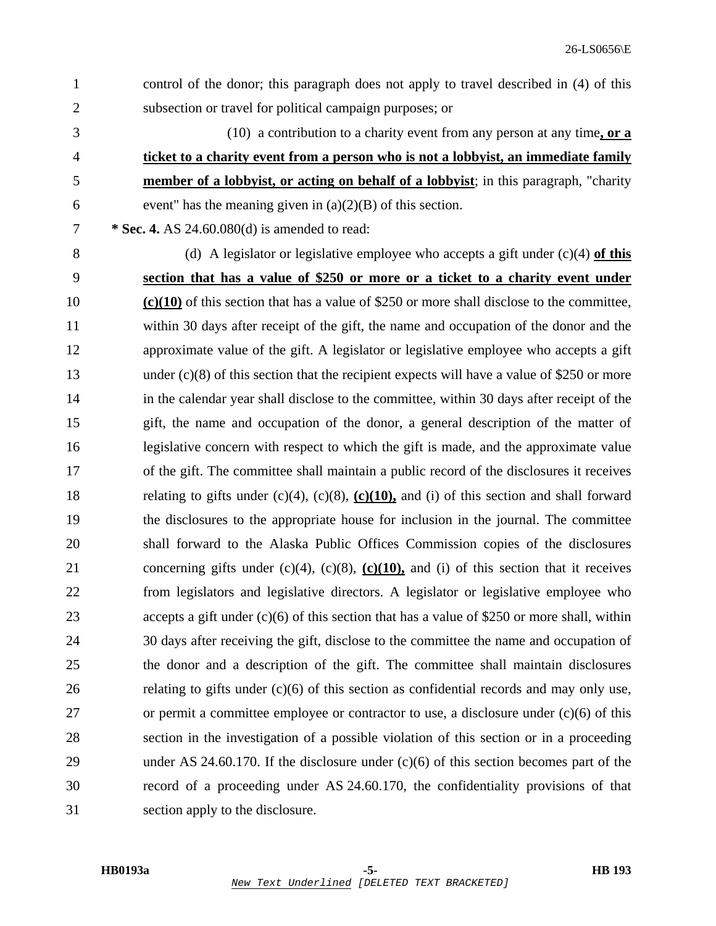- 1 control of the donor; this paragraph does not apply to travel described in (4) of this 2 subsection or travel for political campaign purposes; or
- 3 (10) a contribution to a charity event from any person at any time**, or a** 4 **ticket to a charity event from a person who is not a lobbyist, an immediate family** 5 **member of a lobbyist, or acting on behalf of a lobbyist**; in this paragraph, "charity 6 event" has the meaning given in  $(a)(2)(B)$  of this section.
- 7 **\* Sec. 4.** AS 24.60.080(d) is amended to read:
- 

8 (d) A legislator or legislative employee who accepts a gift under (c)(4) **of this** 9 **section that has a value of \$250 or more or a ticket to a charity event under** 10 **(c)(10)** of this section that has a value of \$250 or more shall disclose to the committee, 11 within 30 days after receipt of the gift, the name and occupation of the donor and the 12 approximate value of the gift. A legislator or legislative employee who accepts a gift 13 under (c)(8) of this section that the recipient expects will have a value of \$250 or more 14 in the calendar year shall disclose to the committee, within 30 days after receipt of the 15 gift, the name and occupation of the donor, a general description of the matter of 16 legislative concern with respect to which the gift is made, and the approximate value 17 of the gift. The committee shall maintain a public record of the disclosures it receives 18 relating to gifts under (c)(4), (c)(8), **(c)(10),** and (i) of this section and shall forward 19 the disclosures to the appropriate house for inclusion in the journal. The committee 20 shall forward to the Alaska Public Offices Commission copies of the disclosures 21 concerning gifts under (c)(4), (c)(8), **(c)(10),** and (i) of this section that it receives 22 from legislators and legislative directors. A legislator or legislative employee who 23 accepts a gift under (c)(6) of this section that has a value of \$250 or more shall, within 24 30 days after receiving the gift, disclose to the committee the name and occupation of 25 the donor and a description of the gift. The committee shall maintain disclosures 26 relating to gifts under (c)(6) of this section as confidential records and may only use, 27 or permit a committee employee or contractor to use, a disclosure under (c)(6) of this 28 section in the investigation of a possible violation of this section or in a proceeding 29 under AS 24.60.170. If the disclosure under (c)(6) of this section becomes part of the 30 record of a proceeding under AS 24.60.170, the confidentiality provisions of that 31 section apply to the disclosure.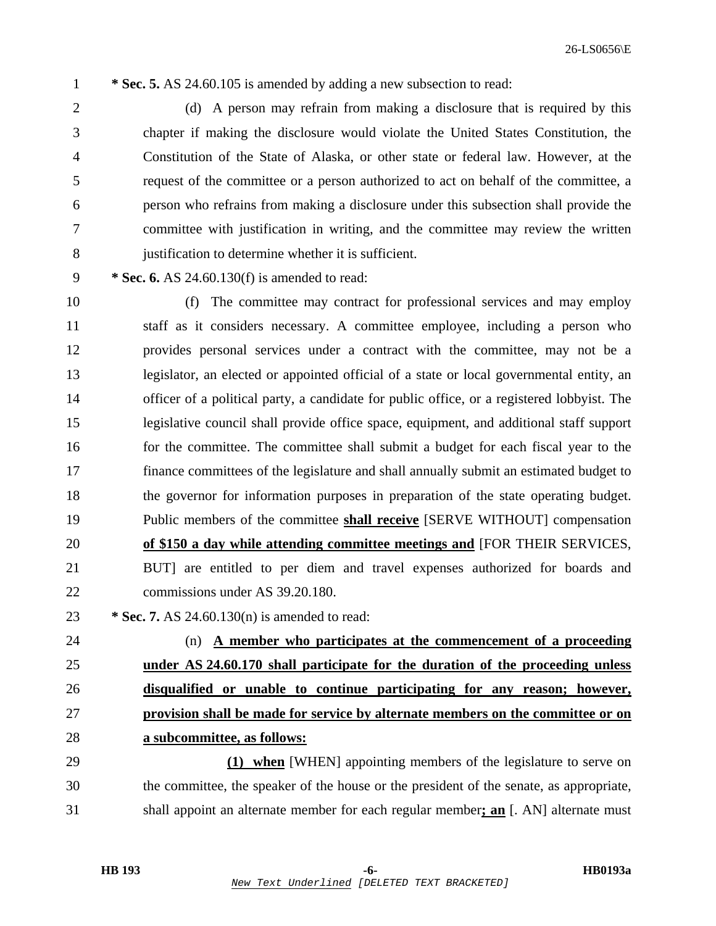1 **\* Sec. 5.** AS 24.60.105 is amended by adding a new subsection to read:

2 (d) A person may refrain from making a disclosure that is required by this 3 chapter if making the disclosure would violate the United States Constitution, the 4 Constitution of the State of Alaska, or other state or federal law. However, at the 5 request of the committee or a person authorized to act on behalf of the committee, a 6 person who refrains from making a disclosure under this subsection shall provide the 7 committee with justification in writing, and the committee may review the written 8 justification to determine whether it is sufficient.

9 **\* Sec. 6.** AS 24.60.130(f) is amended to read:

10 (f) The committee may contract for professional services and may employ 11 staff as it considers necessary. A committee employee, including a person who 12 provides personal services under a contract with the committee, may not be a 13 legislator, an elected or appointed official of a state or local governmental entity, an 14 officer of a political party, a candidate for public office, or a registered lobbyist. The 15 legislative council shall provide office space, equipment, and additional staff support 16 for the committee. The committee shall submit a budget for each fiscal year to the 17 finance committees of the legislature and shall annually submit an estimated budget to 18 the governor for information purposes in preparation of the state operating budget. 19 Public members of the committee **shall receive** [SERVE WITHOUT] compensation 20 **of \$150 a day while attending committee meetings and** [FOR THEIR SERVICES, 21 BUT] are entitled to per diem and travel expenses authorized for boards and 22 commissions under AS 39.20.180.

23 **\* Sec. 7.** AS 24.60.130(n) is amended to read:

24 (n) **A member who participates at the commencement of a proceeding under AS 24.60.170 shall participate for the duration of the proceeding unless disqualified or unable to continue participating for any reason; however, provision shall be made for service by alternate members on the committee or on a subcommittee, as follows:**

29 **(1) when** [WHEN] appointing members of the legislature to serve on 30 the committee, the speaker of the house or the president of the senate, as appropriate, 31 shall appoint an alternate member for each regular member**; an** [. AN] alternate must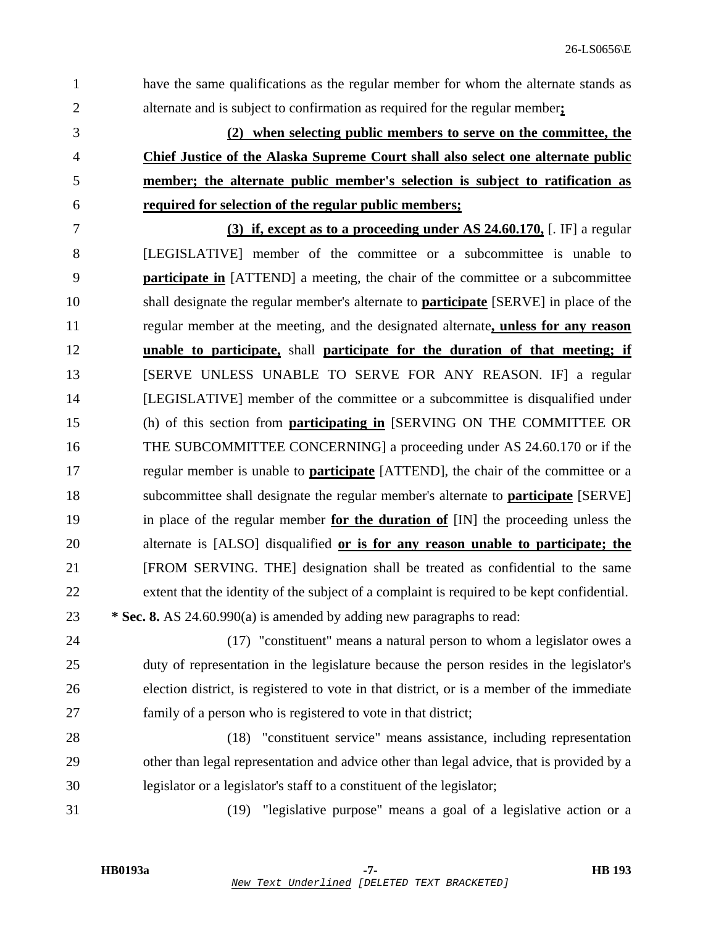1 have the same qualifications as the regular member for whom the alternate stands as 2 alternate and is subject to confirmation as required for the regular member**;** 3 **(2) when selecting public members to serve on the committee, the** 4 **Chief Justice of the Alaska Supreme Court shall also select one alternate public** 5 **member; the alternate public member's selection is subject to ratification as** 6 **required for selection of the regular public members;**  7 **(3) if, except as to a proceeding under AS 24.60.170,** [. IF] a regular 8 [LEGISLATIVE] member of the committee or a subcommittee is unable to 9 **participate in** [ATTEND] a meeting, the chair of the committee or a subcommittee 10 shall designate the regular member's alternate to **participate** [SERVE] in place of the 11 regular member at the meeting, and the designated alternate**, unless for any reason** 12 **unable to participate,** shall **participate for the duration of that meeting; if** 13 **ISERVE UNLESS UNABLE TO SERVE FOR ANY REASON. IF** a regular 14 [LEGISLATIVE] member of the committee or a subcommittee is disqualified under 15 (h) of this section from **participating in** [SERVING ON THE COMMITTEE OR 16 THE SUBCOMMITTEE CONCERNING] a proceeding under AS 24.60.170 or if the 17 regular member is unable to **participate** [ATTEND], the chair of the committee or a 18 subcommittee shall designate the regular member's alternate to **participate** [SERVE] 19 in place of the regular member **for the duration of** [IN] the proceeding unless the 20 alternate is [ALSO] disqualified **or is for any reason unable to participate; the** 21 [FROM SERVING. THE] designation shall be treated as confidential to the same 22 extent that the identity of the subject of a complaint is required to be kept confidential. 23 **\* Sec. 8.** AS 24.60.990(a) is amended by adding new paragraphs to read: 24 (17) "constituent" means a natural person to whom a legislator owes a 25 duty of representation in the legislature because the person resides in the legislator's 26 election district, is registered to vote in that district, or is a member of the immediate 27 family of a person who is registered to vote in that district; 28 (18) "constituent service" means assistance, including representation 29 other than legal representation and advice other than legal advice, that is provided by a

31 (19) "legislative purpose" means a goal of a legislative action or a

30 legislator or a legislator's staff to a constituent of the legislator;